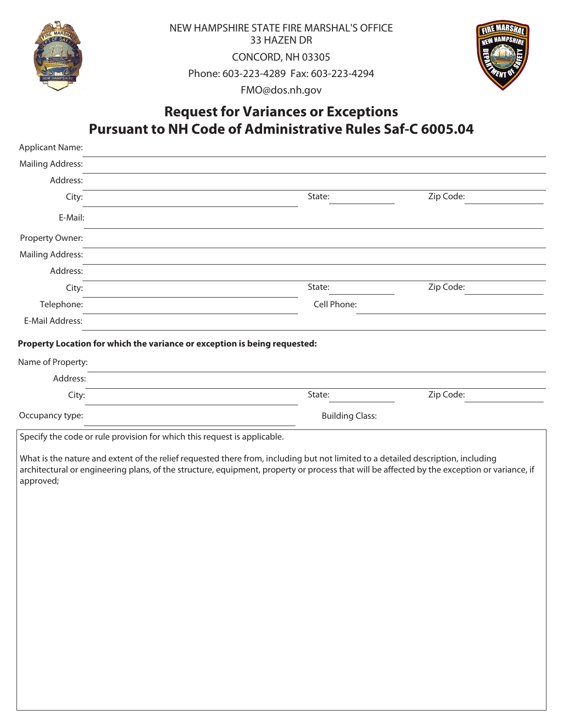

NEW HAMPSHIRE STATE FIRE MARSHAL'S OFFICE 33 HAZEN DR CONCORD, NH 03305 Phone: 603-223-4289 Fax: 603-223-4294 FMO@dos.nh.gov



## **Request for Variances or Exceptions Pursuant to NH Code of Administrative Rules Saf-C 6005.04**

| State:                 | Zip Code:                                                                                                                                                                                                                                                                                                                                                                                                                                |  |
|------------------------|------------------------------------------------------------------------------------------------------------------------------------------------------------------------------------------------------------------------------------------------------------------------------------------------------------------------------------------------------------------------------------------------------------------------------------------|--|
|                        |                                                                                                                                                                                                                                                                                                                                                                                                                                          |  |
|                        |                                                                                                                                                                                                                                                                                                                                                                                                                                          |  |
|                        |                                                                                                                                                                                                                                                                                                                                                                                                                                          |  |
|                        |                                                                                                                                                                                                                                                                                                                                                                                                                                          |  |
| State:                 | Zip Code:                                                                                                                                                                                                                                                                                                                                                                                                                                |  |
| Cell Phone:            |                                                                                                                                                                                                                                                                                                                                                                                                                                          |  |
|                        |                                                                                                                                                                                                                                                                                                                                                                                                                                          |  |
|                        |                                                                                                                                                                                                                                                                                                                                                                                                                                          |  |
|                        |                                                                                                                                                                                                                                                                                                                                                                                                                                          |  |
|                        |                                                                                                                                                                                                                                                                                                                                                                                                                                          |  |
| State:                 | Zip Code:                                                                                                                                                                                                                                                                                                                                                                                                                                |  |
| <b>Building Class:</b> |                                                                                                                                                                                                                                                                                                                                                                                                                                          |  |
|                        |                                                                                                                                                                                                                                                                                                                                                                                                                                          |  |
|                        |                                                                                                                                                                                                                                                                                                                                                                                                                                          |  |
|                        |                                                                                                                                                                                                                                                                                                                                                                                                                                          |  |
|                        | Property Location for which the variance or exception is being requested:<br>Specify the code or rule provision for which this request is applicable.<br>What is the nature and extent of the relief requested there from, including but not limited to a detailed description, including<br>architectural or engineering plans, of the structure, equipment, property or process that will be affected by the exception or variance, if |  |